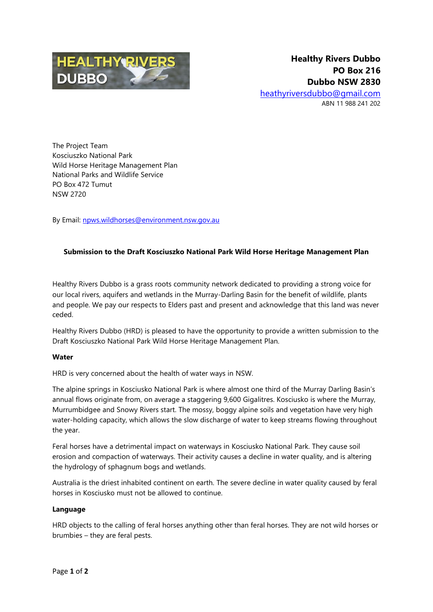

The Project Team Kosciuszko National Park Wild Horse Heritage Management Plan National Parks and Wildlife Service PO Box 472 Tumut NSW 2720

By Email: [npws.wildhorses@environment.nsw.gov.au](mailto:npws.wildhorses@environment.nsw.gov.au)

## **Submission to the Draft Kosciuszko National Park Wild Horse Heritage Management Plan**

Healthy Rivers Dubbo is a grass roots community network dedicated to providing a strong voice for our local rivers, aquifers and wetlands in the Murray-Darling Basin for the benefit of wildlife, plants and people. We pay our respects to Elders past and present and acknowledge that this land was never ceded.

Healthy Rivers Dubbo (HRD) is pleased to have the opportunity to provide a written submission to the Draft Kosciuszko National Park Wild Horse Heritage Management Plan.

## **Water**

HRD is very concerned about the health of water ways in NSW.

The alpine springs in Kosciusko National Park is where almost one third of the Murray Darling Basin's annual flows originate from, on average a staggering 9,600 Gigalitres. Kosciusko is where the Murray, Murrumbidgee and Snowy Rivers start. The mossy, boggy alpine soils and vegetation have very high water-holding capacity, which allows the slow discharge of water to keep streams flowing throughout the year.

Feral horses have a detrimental impact on waterways in Kosciusko National Park. They cause soil erosion and compaction of waterways. Their activity causes a decline in water quality, and is altering the hydrology of sphagnum bogs and wetlands.

Australia is the driest inhabited continent on earth. The severe decline in water quality caused by feral horses in Kosciusko must not be allowed to continue.

## **Language**

HRD objects to the calling of feral horses anything other than feral horses. They are not wild horses or brumbies – they are feral pests.